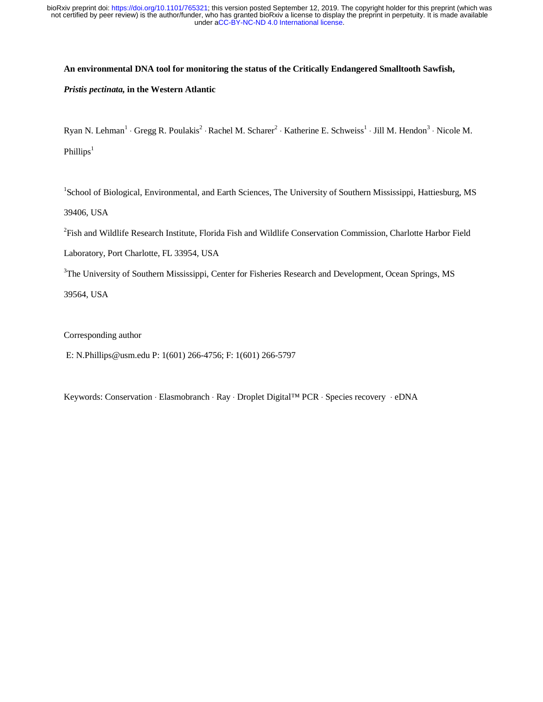#### **An environmental DNA tool for monitoring the status of the Critically Endangered Smalltooth Sawfish,**

#### *Pristis pectinata,* **in the Western Atlantic**

Ryan N. Lehman<sup>1</sup> ⋅ Gregg R. Poulakis<sup>2</sup> ⋅ Rachel M. Scharer<sup>2</sup> ⋅ Katherine E. Schweiss<sup>1</sup> ⋅ Jill M. Hendon<sup>3</sup> ⋅ Nicole M. Phillips<sup>1</sup>

<sup>1</sup>School of Biological, Environmental, and Earth Sciences, The University of Southern Mississippi, Hattiesburg, MS 39406, USA

<sup>2</sup>Fish and Wildlife Research Institute, Florida Fish and Wildlife Conservation Commission, Charlotte Harbor Field

Laboratory, Port Charlotte, FL 33954, USA

<sup>3</sup>The University of Southern Mississippi, Center for Fisheries Research and Development, Ocean Springs, MS

39564, USA

Corresponding author

E: N.Phillips@usm.edu P: 1(601) 266-4756; F: 1(601) 266-5797

Keywords: Conservation ⋅ Elasmobranch ⋅ Ray ⋅ Droplet Digital™ PCR ⋅ Species recovery ⋅ eDNA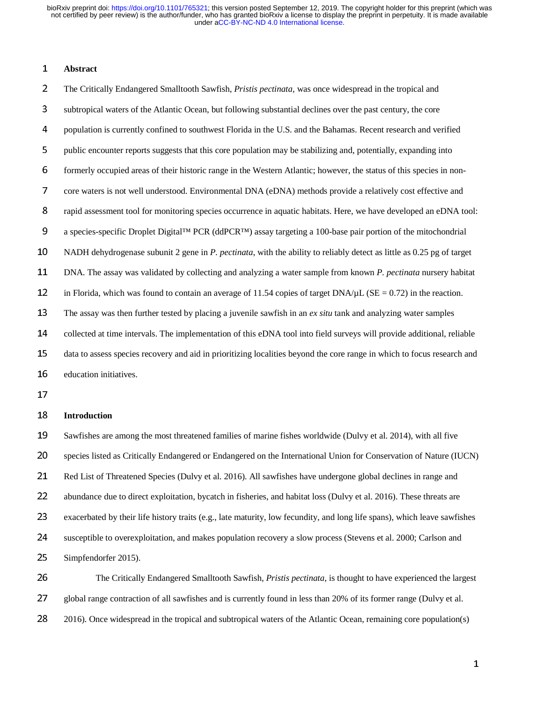# <sup>1</sup>**Abstract**

<sup>2</sup>The Critically Endangered Smalltooth Sawfish, *Pristis pectinata,* was once widespread in the tropical and <sup>3</sup>subtropical waters of the Atlantic Ocean, but following substantial declines over the past century, the core <sup>4</sup>population is currently confined to southwest Florida in the U.S. and the Bahamas. Recent research and verified 5 public encounter reports suggests that this core population may be stabilizing and, potentially, expanding into 6 formerly occupied areas of their historic range in the Western Atlantic; however, the status of this species in non-<sup>7</sup>core waters is not well understood. Environmental DNA (eDNA) methods provide a relatively cost effective and <sup>8</sup>rapid assessment tool for monitoring species occurrence in aquatic habitats. Here, we have developed an eDNA tool: 9 a species-specific Droplet Digital<sup>™</sup> PCR (ddPCR™) assay targeting a 100-base pair portion of the mitochondrial <sup>10</sup>NADH dehydrogenase subunit 2 gene in *P*. *pectinata*, with the ability to reliably detect as little as 0.25 pg of target <sup>11</sup>DNA. The assay was validated by collecting and analyzing a water sample from known *P*. *pectinata* nursery habitat 12 in Florida, which was found to contain an average of 11.54 copies of target DNA/ $\mu$ L (SE = 0.72) in the reaction. <sup>13</sup>The assay was then further tested by placing a juvenile sawfish in an *ex situ* tank and analyzing water samples 14 collected at time intervals. The implementation of this eDNA tool into field surveys will provide additional, reliable 15 data to assess species recovery and aid in prioritizing localities beyond the core range in which to focus research and 16 education initiatives.

17

### <sup>18</sup>**Introduction**

19 Sawfishes are among the most threatened families of marine fishes worldwide (Dulvy et al. 2014), with all five 20 species listed as Critically Endangered or Endangered on the International Union for Conservation of Nature (IUCN) 21 Red List of Threatened Species (Dulvy et al. 2016). All sawfishes have undergone global declines in range and 22 abundance due to direct exploitation, bycatch in fisheries, and habitat loss (Dulvy et al. 2016). These threats are 23 exacerbated by their life history traits (e.g., late maturity, low fecundity, and long life spans), which leave sawfishes 24 susceptible to overexploitation, and makes population recovery a slow process (Stevens et al. 2000; Carlson and 25 Simpfendorfer 2015).

26 The Critically Endangered Smalltooth Sawfish, *Pristis pectinata*, is thought to have experienced the largest 27 global range contraction of all sawfishes and is currently found in less than 20% of its former range (Dulvy et al. 28 2016). Once widespread in the tropical and subtropical waters of the Atlantic Ocean, remaining core population(s)

1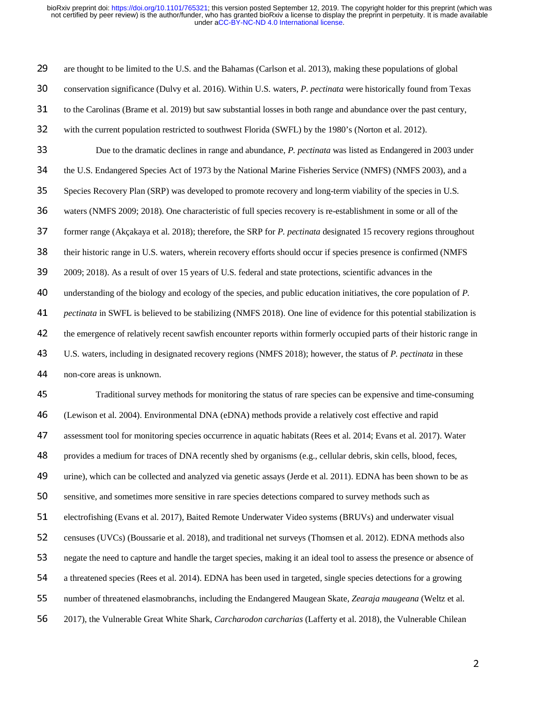29 are thought to be limited to the U.S. and the Bahamas (Carlson et al. 2013), making these populations of global 30 conservation significance (Dulvy et al. 2016). Within U.S. waters, *P. pectinata* were historically found from Texas 31 to the Carolinas (Brame et al. 2019) but saw substantial losses in both range and abundance over the past century, 32 with the current population restricted to southwest Florida (SWFL) by the 1980's (Norton et al. 2012). <sup>33</sup>Due to the dramatic declines in range and abundance, *P. pectinata* was listed as Endangered in 2003 under 34 the U.S. Endangered Species Act of 1973 by the National Marine Fisheries Service (NMFS) (NMFS 2003), and a 35 Species Recovery Plan (SRP) was developed to promote recovery and long-term viability of the species in U.S. 36 waters (NMFS 2009; 2018). One characteristic of full species recovery is re-establishment in some or all of the 37 former range (Akçakaya et al. 2018); therefore, the SRP for *P. pectinata* designated 15 recovery regions throughout 38 their historic range in U.S. waters, wherein recovery efforts should occur if species presence is confirmed (NMFS 39 2009; 2018). As a result of over 15 years of U.S. federal and state protections, scientific advances in the <sup>40</sup>understanding of the biology and ecology of the species, and public education initiatives, the core population of *P.*  <sup>41</sup>*pectinata* in SWFL is believed to be stabilizing (NMFS 2018). One line of evidence for this potential stabilization is 42 the emergence of relatively recent sawfish encounter reports within formerly occupied parts of their historic range in <sup>43</sup>U.S. waters, including in designated recovery regions (NMFS 2018); however, the status of *P. pectinata* in these 44 non-core areas is unknown. <sup>45</sup>Traditional survey methods for monitoring the status of rare species can be expensive and time-consuming <sup>46</sup>(Lewison et al. 2004). Environmental DNA (eDNA) methods provide a relatively cost effective and rapid 47 assessment tool for monitoring species occurrence in aquatic habitats (Rees et al. 2014; Evans et al. 2017). Water <sup>48</sup>provides a medium for traces of DNA recently shed by organisms (e.g., cellular debris, skin cells, blood, feces, 49 urine), which can be collected and analyzed via genetic assays (Jerde et al. 2011). EDNA has been shown to be as

50 sensitive, and sometimes more sensitive in rare species detections compared to survey methods such as

51 electrofishing (Evans et al. 2017), Baited Remote Underwater Video systems (BRUVs) and underwater visual

52 censuses (UVCs) (Boussarie et al. 2018), and traditional net surveys (Thomsen et al. 2012). EDNA methods also

53 negate the need to capture and handle the target species, making it an ideal tool to assess the presence or absence of

- 54 a threatened species (Rees et al. 2014). EDNA has been used in targeted, single species detections for a growing
- <sup>55</sup>number of threatened elasmobranchs, including the Endangered Maugean Skate, *Zearaja maugeana* (Weltz et al.
- <sup>56</sup>2017), the Vulnerable Great White Shark, *Carcharodon carcharias* (Lafferty et al. 2018), the Vulnerable Chilean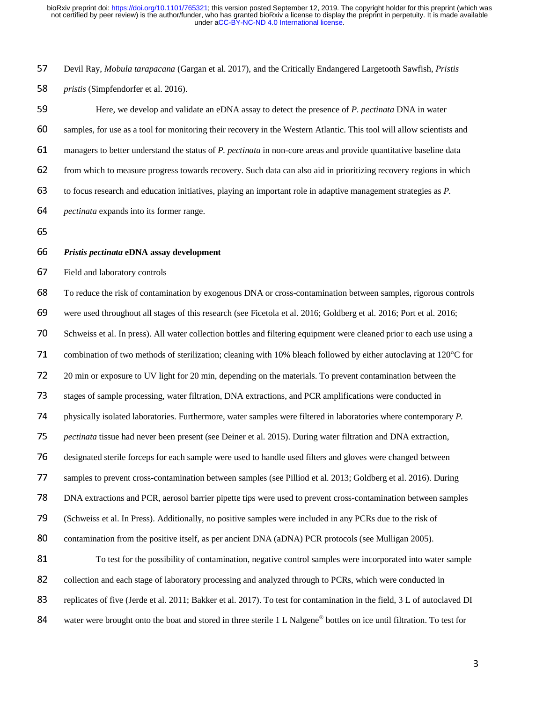<sup>57</sup>Devil Ray, *Mobula tarapacana* (Gargan et al. 2017), and the Critically Endangered Largetooth Sawfish, *Pristis* 

<sup>58</sup>*pristis* (Simpfendorfer et al. 2016).

59 Here, we develop and validate an eDNA assay to detect the presence of *P. pectinata* DNA in water 60 samples, for use as a tool for monitoring their recovery in the Western Atlantic. This tool will allow scientists and <sup>61</sup>managers to better understand the status of *P. pectinata* in non-core areas and provide quantitative baseline data 62 from which to measure progress towards recovery. Such data can also aid in prioritizing recovery regions in which <sup>63</sup>to focus research and education initiatives, playing an important role in adaptive management strategies as *P.*  <sup>64</sup>*pectinata* expands into its former range.

65

#### <sup>66</sup>*Pristis pectinata* **eDNA assay development**

67 Field and laboratory controls

<sup>68</sup>To reduce the risk of contamination by exogenous DNA or cross-contamination between samples, rigorous controls <sup>69</sup>were used throughout all stages of this research (see Ficetola et al. 2016; Goldberg et al. 2016; Port et al. 2016; 70 Schweiss et al. In press). All water collection bottles and filtering equipment were cleaned prior to each use using a 71 combination of two methods of sterilization; cleaning with 10% bleach followed by either autoclaving at 120 $^{\circ}$ C for <sup>72</sup>20 min or exposure to UV light for 20 min, depending on the materials. To prevent contamination between the 73 stages of sample processing, water filtration, DNA extractions, and PCR amplifications were conducted in 74 physically isolated laboratories. Furthermore, water samples were filtered in laboratories where contemporary *P*. <sup>75</sup>*pectinata* tissue had never been present (see Deiner et al. 2015). During water filtration and DNA extraction, 76 designated sterile forceps for each sample were used to handle used filters and gloves were changed between 77 samples to prevent cross-contamination between samples (see Pilliod et al. 2013; Goldberg et al. 2016). During <sup>78</sup>DNA extractions and PCR, aerosol barrier pipette tips were used to prevent cross-contamination between samples 79 (Schweiss et al. In Press). Additionally, no positive samples were included in any PCRs due to the risk of 80 contamination from the positive itself, as per ancient DNA (aDNA) PCR protocols (see Mulligan 2005). 81 To test for the possibility of contamination, negative control samples were incorporated into water sample 82 collection and each stage of laboratory processing and analyzed through to PCRs, which were conducted in 83 replicates of five (Jerde et al. 2011; Bakker et al. 2017). To test for contamination in the field, 3 L of autoclaved DI 84 water were brought onto the boat and stored in three sterile 1 L Nalgene<sup>®</sup> bottles on ice until filtration. To test for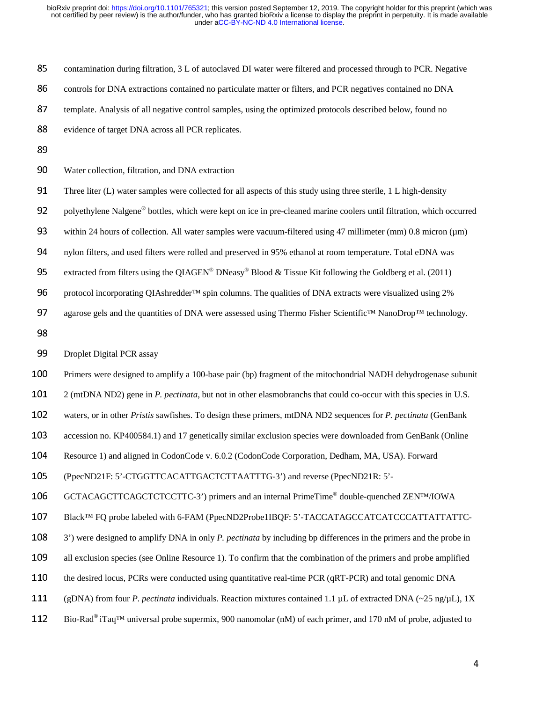85 contamination during filtration, 3 L of autoclaved DI water were filtered and processed through to PCR. Negative

86 controls for DNA extractions contained no particulate matter or filters, and PCR negatives contained no DNA

87 template. Analysis of all negative control samples, using the optimized protocols described below, found no

88 evidence of target DNA across all PCR replicates.

90 Water collection, filtration, and DNA extraction

91 Three liter (L) water samples were collected for all aspects of this study using three sterile, 1 L high-density

92 polyethylene Nalgene® bottles, which were kept on ice in pre-cleaned marine coolers until filtration, which occurred

93 within 24 hours of collection. All water samples were vacuum-filtered using 47 millimeter (mm) 0.8 micron ( $\mu$ m)

94 nylon filters, and used filters were rolled and preserved in 95% ethanol at room temperature. Total eDNA was

95 extracted from filters using the QIAGEN<sup>®</sup> DNeasy<sup>®</sup> Blood & Tissue Kit following the Goldberg et al. (2011)

96 protocol incorporating QIAshredder™ spin columns. The qualities of DNA extracts were visualized using 2%

97 agarose gels and the quantities of DNA were assessed using Thermo Fisher Scientific™ NanoDrop™ technology.

98

99 Droplet Digital PCR assay

100 Primers were designed to amplify a 100-base pair (bp) fragment of the mitochondrial NADH dehydrogenase subunit

<sup>101</sup>2 (mtDNA ND2) gene in *P. pectinata*, but not in other elasmobranchs that could co-occur with this species in U.S.

102 waters, or in other *Pristis* sawfishes. To design these primers, mtDNA ND2 sequences for *P. pectinata* (GenBank

103 accession no. KP400584.1) and 17 genetically similar exclusion species were downloaded from GenBank (Online

104 Resource 1) and aligned in CodonCode v. 6.0.2 (CodonCode Corporation, Dedham, MA, USA). Forward

<sup>105</sup>(PpecND21F: 5'-CTGGTTCACATTGACTCTTAATTTG-3') and reverse (PpecND21R: 5'-

106 GCTACAGCTTCAGCTCTCCTTC-3') primers and an internal PrimeTime® double-quenched ZEN™/IOWA

107 Black™ FQ probe labeled with 6-FAM (PpecND2Probe1IBQF: 5'-TACCATAGCCATCATCCCATTATTATTC-

<sup>108</sup>3') were designed to amplify DNA in only *P. pectinata* by including bp differences in the primers and the probe in

109 all exclusion species (see Online Resource 1). To confirm that the combination of the primers and probe amplified

- 110 the desired locus, PCRs were conducted using quantitative real-time PCR (qRT-PCR) and total genomic DNA
- <sup>111</sup>(gDNA) from four *P*. *pectinata* individuals. Reaction mixtures contained 1.1 µL of extracted DNA (~25 ng/µL), 1X
- 112 Bio-Rad<sup>®</sup> iTaq<sup>™</sup> universal probe supermix, 900 nanomolar (nM) of each primer, and 170 nM of probe, adjusted to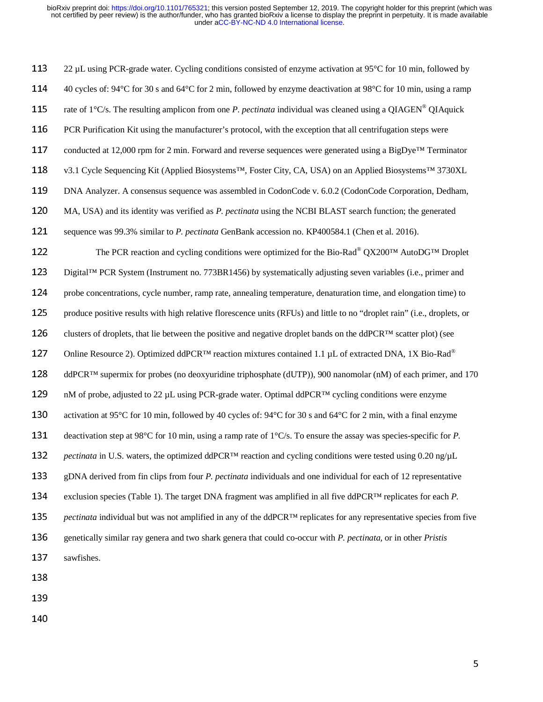113 22 µL using PCR-grade water. Cycling conditions consisted of enzyme activation at 95°C for 10 min, followed by 114  $\pm$  40 cycles of: 94°C for 30 s and 64°C for 2 min, followed by enzyme deactivation at 98°C for 10 min, using a ramp 115 rate of  $1^{\circ}$ C/s. The resulting amplicon from one *P. pectinata* individual was cleaned using a QIAGEN<sup>®</sup> QIAquick 116 PCR Purification Kit using the manufacturer's protocol, with the exception that all centrifugation steps were 117 conducted at 12,000 rpm for 2 min. Forward and reverse sequences were generated using a BigDye<sup>™</sup> Terminator 118 v3.1 Cycle Sequencing Kit (Applied Biosystems™, Foster City, CA, USA) on an Applied Biosystems™ 3730XL 119 DNA Analyzer. A consensus sequence was assembled in CodonCode v. 6.0.2 (CodonCode Corporation, Dedham, <sup>120</sup>MA, USA) and its identity was verified as *P. pectinata* using the NCBI BLAST search function; the generated <sup>121</sup>sequence was 99.3% similar to *P. pectinata* GenBank accession no. KP400584.1 (Chen et al. 2016). 122 The PCR reaction and cycling conditions were optimized for the Bio-Rad<sup>®</sup> QX200™ AutoDG<sup>™</sup> Droplet 123 Digital™ PCR System (Instrument no. 773BR1456) by systematically adjusting seven variables (i.e., primer and 124 probe concentrations, cycle number, ramp rate, annealing temperature, denaturation time, and elongation time) to 125 produce positive results with high relative florescence units (RFUs) and little to no "droplet rain" (i.e., droplets, or 126 clusters of droplets, that lie between the positive and negative droplet bands on the ddPCR<sup>™</sup> scatter plot) (see 127 Online Resource 2). Optimized ddPCR™ reaction mixtures contained 1.1 μL of extracted DNA, 1X Bio-Rad<sup>®</sup>  $128$  ddPCR<sup>™</sup> supermix for probes (no deoxyuridine triphosphate (dUTP)), 900 nanomolar (nM) of each primer, and 170 129 nM of probe, adjusted to 22 µL using PCR-grade water. Optimal ddPCR™ cycling conditions were enzyme 130 activation at 95°C for 10 min, followed by 40 cycles of:  $94^{\circ}$ C for 30 s and  $64^{\circ}$ C for 2 min, with a final enzyme 131 deactivation step at 98°C for 10 min, using a ramp rate of 1°C/s. To ensure the assay was species-specific for *P*. <sup>132</sup>*pectinata* in U.S. waters, the optimized ddPCR™ reaction and cycling conditions were tested using 0.20 ng/µL <sup>133</sup>gDNA derived from fin clips from four *P. pectinata* individuals and one individual for each of 12 representative <sup>134</sup>exclusion species (Table 1). The target DNA fragment was amplified in all five ddPCR™ replicates for each *P.*  <sup>135</sup>*pectinata* individual but was not amplified in any of the ddPCR™ replicates for any representative species from five <sup>136</sup>genetically similar ray genera and two shark genera that could co-occur with *P. pectinata,* or in other *Pristis*  137 sawfishes.

140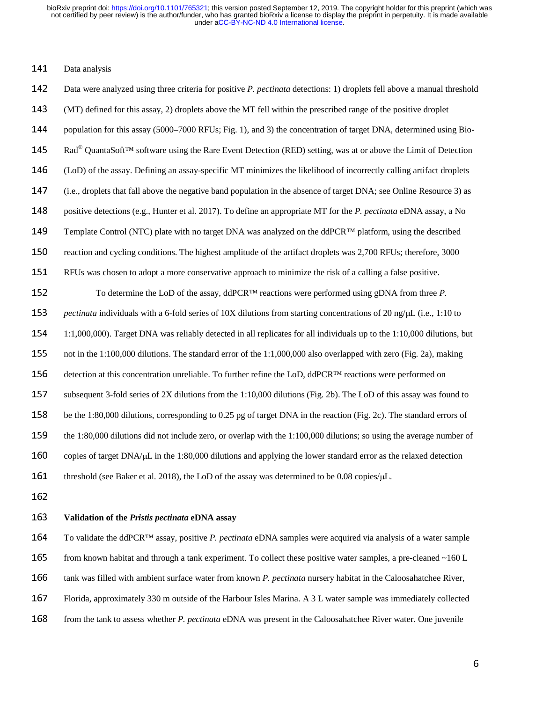### 141 Data analysis

142 Data were analyzed using three criteria for positive *P. pectinata* detections: 1) droplets fell above a manual threshold <sup>143</sup>(MT) defined for this assay, 2) droplets above the MT fell within the prescribed range of the positive droplet 144 population for this assay (5000–7000 RFUs; Fig. 1), and 3) the concentration of target DNA, determined using Bio-145 Rad<sup>®</sup> QuantaSoft<sup>™</sup> software using the Rare Event Detection (RED) setting, was at or above the Limit of Detection <sup>146</sup>(LoD) of the assay. Defining an assay-specific MT minimizes the likelihood of incorrectly calling artifact droplets 147 (i.e., droplets that fall above the negative band population in the absence of target DNA; see Online Resource 3) as 148 positive detections (e.g., Hunter et al. 2017). To define an appropriate MT for the *P. pectinata* eDNA assay, a No 149 Template Control (NTC) plate with no target DNA was analyzed on the ddPCR<sup>™</sup> platform, using the described 150 reaction and cycling conditions. The highest amplitude of the artifact droplets was 2,700 RFUs; therefore, 3000 <sup>151</sup>RFUs was chosen to adopt a more conservative approach to minimize the risk of a calling a false positive. 152 To determine the LoD of the assay, ddPCR™ reactions were performed using gDNA from three *P*. <sup>153</sup>*pectinata* individuals with a 6-fold series of 10X dilutions from starting concentrations of 20 ng/μL (i.e., 1:10 to <sup>154</sup>1:1,000,000). Target DNA was reliably detected in all replicates for all individuals up to the 1:10,000 dilutions, but 155 not in the 1:100,000 dilutions. The standard error of the 1:1,000,000 also overlapped with zero (Fig. 2a), making 156 detection at this concentration unreliable. To further refine the LoD, ddPCR™ reactions were performed on 157 subsequent 3-fold series of 2X dilutions from the 1:10,000 dilutions (Fig. 2b). The LoD of this assay was found to 158 be the 1:80,000 dilutions, corresponding to 0.25 pg of target DNA in the reaction (Fig. 2c). The standard errors of 159 the 1:80,000 dilutions did not include zero, or overlap with the  $1:100,000$  dilutions; so using the average number of 160 copies of target DNA/ $\mu$ L in the 1:80,000 dilutions and applying the lower standard error as the relaxed detection 161 threshold (see Baker et al. 2018), the LoD of the assay was determined to be 0.08 copies/µL.

# <sup>163</sup>**Validation of the** *Pristis pectinata* **eDNA assay**

<sup>164</sup>To validate the ddPCR™ assay, positive *P. pectinata* eDNA samples were acquired via analysis of a water sample 165 from known habitat and through a tank experiment. To collect these positive water samples, a pre-cleaned  $\sim160$  L 166 tank was filled with ambient surface water from known *P. pectinata* nursery habitat in the Caloosahatchee River, 167 Florida, approximately 330 m outside of the Harbour Isles Marina. A 3 L water sample was immediately collected 168 from the tank to assess whether *P. pectinata* eDNA was present in the Caloosahatchee River water. One juvenile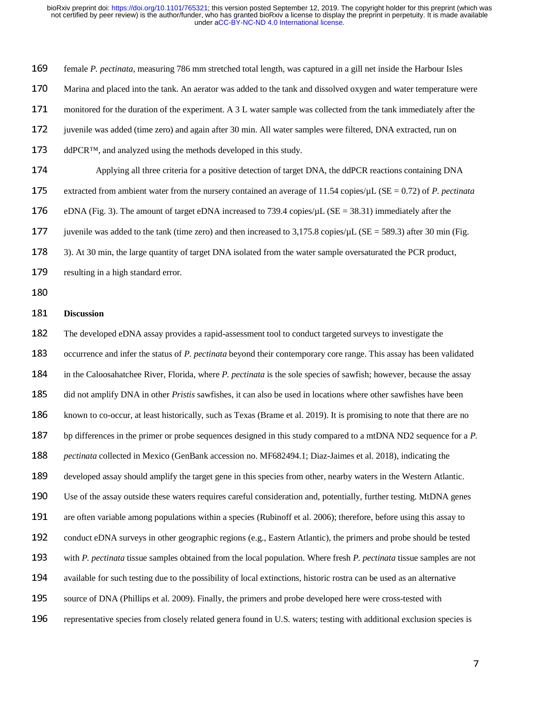169 female *P. pectinata*, measuring 786 mm stretched total length, was captured in a gill net inside the Harbour Isles 170 Marina and placed into the tank. An aerator was added to the tank and dissolved oxygen and water temperature were 171 monitored for the duration of the experiment. A 3 L water sample was collected from the tank immediately after the 172 juvenile was added (time zero) and again after 30 min. All water samples were filtered, DNA extracted, run on  $173$  ddPCR<sup>™</sup>, and analyzed using the methods developed in this study. 174 Applying all three criteria for a positive detection of target DNA, the ddPCR reactions containing DNA 175 extracted from ambient water from the nursery contained an average of 11.54 copies/ $\mu$ L (SE = 0.72) of *P. pectinata* 176 eDNA (Fig. 3). The amount of target eDNA increased to 739.4 copies/ $\mu$ L (SE = 38.31) immediately after the 177 juvenile was added to the tank (time zero) and then increased to 3,175.8 copies/ $\mu$ L (SE = 589.3) after 30 min (Fig. 178 3). At 30 min, the large quantity of target DNA isolated from the water sample oversaturated the PCR product, 179 resulting in a high standard error.

### <sup>181</sup>**Discussion**

182 The developed eDNA assay provides a rapid-assessment tool to conduct targeted surveys to investigate the 183 occurrence and infer the status of *P. pectinata* beyond their contemporary core range. This assay has been validated <sup>184</sup>in the Caloosahatchee River, Florida, where *P. pectinata* is the sole species of sawfish; however, because the assay 185 did not amplify DNA in other *Pristis* sawfishes, it can also be used in locations where other sawfishes have been 186 known to co-occur, at least historically, such as Texas (Brame et al. 2019). It is promising to note that there are no 187 bp differences in the primer or probe sequences designed in this study compared to a mtDNA ND2 sequence for a *P*. <sup>188</sup>*pectinata* collected in Mexico (GenBank accession no. MF682494.1; Diaz-Jaimes et al. 2018), indicating the 189 developed assay should amplify the target gene in this species from other, nearby waters in the Western Atlantic. 190 Use of the assay outside these waters requires careful consideration and, potentially, further testing. MtDNA genes 191 are often variable among populations within a species (Rubinoff et al. 2006); therefore, before using this assay to 192 conduct eDNA surveys in other geographic regions (e.g., Eastern Atlantic), the primers and probe should be tested <sup>193</sup>with *P. pectinata* tissue samples obtained from the local population. Where fresh *P. pectinata* tissue samples are not 194 available for such testing due to the possibility of local extinctions, historic rostra can be used as an alternative 195 source of DNA (Phillips et al. 2009). Finally, the primers and probe developed here were cross-tested with 196 representative species from closely related genera found in U.S. waters; testing with additional exclusion species is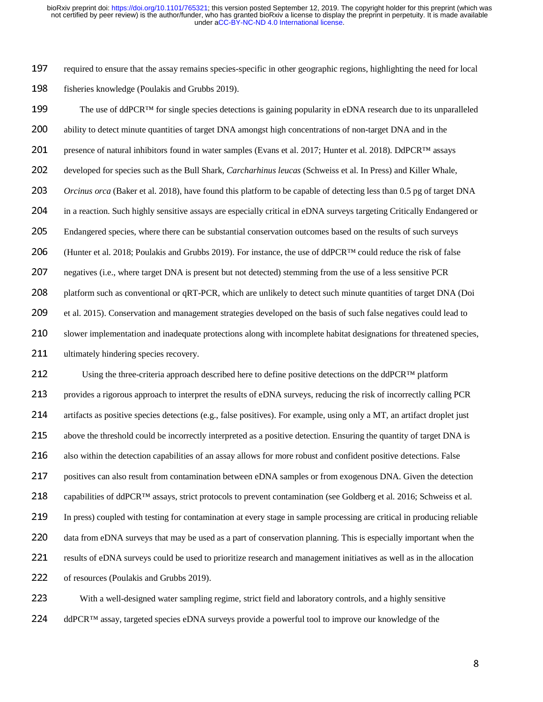197 required to ensure that the assay remains species-specific in other geographic regions, highlighting the need for local 198 fisheries knowledge (Poulakis and Grubbs 2019).

199 The use of ddPCR<sup>™</sup> for single species detections is gaining popularity in eDNA research due to its unparalleled 200 ability to detect minute quantities of target DNA amongst high concentrations of non-target DNA and in the 201 presence of natural inhibitors found in water samples (Evans et al. 2017; Hunter et al. 2018). DdPCR<sup>™</sup> assays 202 developed for species such as the Bull Shark, *Carcharhinus leucas* (Schweiss et al. In Press) and Killer Whale, 203 *Orcinus orca* (Baker et al. 2018), have found this platform to be capable of detecting less than 0.5 pg of target DNA 204 in a reaction. Such highly sensitive assays are especially critical in eDNA surveys targeting Critically Endangered or 205 Endangered species, where there can be substantial conservation outcomes based on the results of such surveys 206 (Hunter et al. 2018; Poulakis and Grubbs 2019). For instance, the use of ddPCR™ could reduce the risk of false 207 negatives (i.e., where target DNA is present but not detected) stemming from the use of a less sensitive PCR 208 platform such as conventional or qRT-PCR, which are unlikely to detect such minute quantities of target DNA (Doi 209 et al. 2015). Conservation and management strategies developed on the basis of such false negatives could lead to 210 slower implementation and inadequate protections along with incomplete habitat designations for threatened species, 211 ultimately hindering species recovery.

212 Using the three-criteria approach described here to define positive detections on the ddPCR<sup>™</sup> platform 213 provides a rigorous approach to interpret the results of eDNA surveys, reducing the risk of incorrectly calling PCR 214 artifacts as positive species detections (e.g., false positives). For example, using only a MT, an artifact droplet just 215 above the threshold could be incorrectly interpreted as a positive detection. Ensuring the quantity of target DNA is 216 also within the detection capabilities of an assay allows for more robust and confident positive detections. False 217 positives can also result from contamination between eDNA samples or from exogenous DNA. Given the detection 218 capabilities of ddPCR<sup>™</sup> assays, strict protocols to prevent contamination (see Goldberg et al. 2016; Schweiss et al. 219 In press) coupled with testing for contamination at every stage in sample processing are critical in producing reliable 220 data from eDNA surveys that may be used as a part of conservation planning. This is especially important when the 221 results of eDNA surveys could be used to prioritize research and management initiatives as well as in the allocation 222 of resources (Poulakis and Grubbs 2019).

223 With a well-designed water sampling regime, strict field and laboratory controls, and a highly sensitive 224 ddPCR™ assay, targeted species eDNA surveys provide a powerful tool to improve our knowledge of the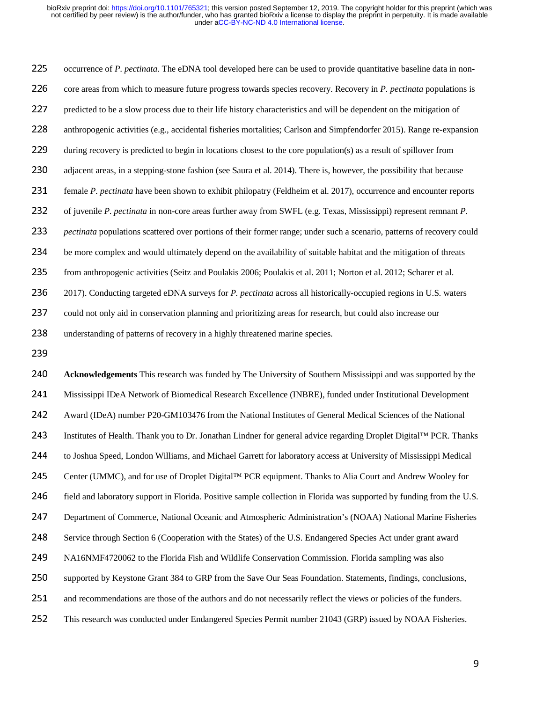225 occurrence of *P. pectinata*. The eDNA tool developed here can be used to provide quantitative baseline data in non-226 core areas from which to measure future progress towards species recovery. Recovery in *P. pectinata* populations is 227 predicted to be a slow process due to their life history characteristics and will be dependent on the mitigation of 228 anthropogenic activities (e.g., accidental fisheries mortalities; Carlson and Simpfendorfer 2015). Range re-expansion 229 during recovery is predicted to begin in locations closest to the core population(s) as a result of spillover from 230 adjacent areas, in a stepping-stone fashion (see Saura et al. 2014). There is, however, the possibility that because <sup>231</sup>female *P*. *pectinata* have been shown to exhibit philopatry (Feldheim et al. 2017), occurrence and encounter reports 232 of juvenile *P. pectinata* in non-core areas further away from SWFL (e.g. Texas, Mississippi) represent remnant *P*. <sup>233</sup>*pectinata* populations scattered over portions of their former range; under such a scenario, patterns of recovery could 234 be more complex and would ultimately depend on the availability of suitable habitat and the mitigation of threats <sup>235</sup>from anthropogenic activities (Seitz and Poulakis 2006; Poulakis et al. 2011; Norton et al. 2012; Scharer et al. <sup>236</sup>2017). Conducting targeted eDNA surveys for *P. pectinata* across all historically-occupied regions in U.S. waters 237 could not only aid in conservation planning and prioritizing areas for research, but could also increase our 238 understanding of patterns of recovery in a highly threatened marine species.

<sup>240</sup>**Acknowledgements** This research was funded by The University of Southern Mississippi and was supported by the 241 Mississippi IDeA Network of Biomedical Research Excellence (INBRE), funded under Institutional Development 242 Award (IDeA) number P20-GM103476 from the National Institutes of General Medical Sciences of the National 243 Institutes of Health. Thank you to Dr. Jonathan Lindner for general advice regarding Droplet Digital™ PCR. Thanks 244 to Joshua Speed, London Williams, and Michael Garrett for laboratory access at University of Mississippi Medical 245 Center (UMMC), and for use of Droplet Digital™ PCR equipment. Thanks to Alia Court and Andrew Wooley for 246 field and laboratory support in Florida. Positive sample collection in Florida was supported by funding from the U.S. 247 Department of Commerce, National Oceanic and Atmospheric Administration's (NOAA) National Marine Fisheries 248 Service through Section 6 (Cooperation with the States) of the U.S. Endangered Species Act under grant award 249 NA16NMF4720062 to the Florida Fish and Wildlife Conservation Commission. Florida sampling was also 250 supported by Keystone Grant 384 to GRP from the Save Our Seas Foundation. Statements, findings, conclusions, 251 and recommendations are those of the authors and do not necessarily reflect the views or policies of the funders. 252 This research was conducted under Endangered Species Permit number 21043 (GRP) issued by NOAA Fisheries.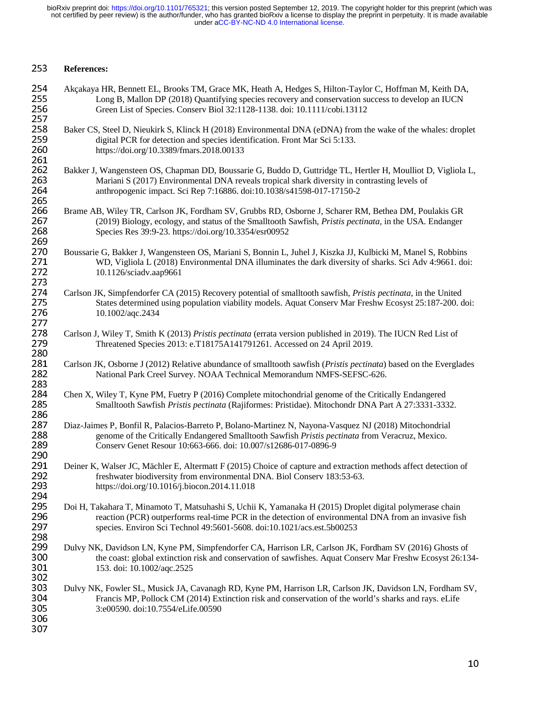# <sup>253</sup>**References:**

| 254 | Akçakaya HR, Bennett EL, Brooks TM, Grace MK, Heath A, Hedges S, Hilton-Taylor C, Hoffman M, Keith DA,            |
|-----|-------------------------------------------------------------------------------------------------------------------|
| 255 | Long B, Mallon DP (2018) Quantifying species recovery and conservation success to develop an IUCN                 |
| 256 | Green List of Species. Conserv Biol 32:1128-1138. doi: 10.1111/cobi.13112                                         |
| 257 |                                                                                                                   |
| 258 | Baker CS, Steel D, Nieukirk S, Klinck H (2018) Environmental DNA (eDNA) from the wake of the whales: droplet      |
| 259 | digital PCR for detection and species identification. Front Mar Sci 5:133.                                        |
| 260 | https://doi.org/10.3389/fmars.2018.00133                                                                          |
| 261 |                                                                                                                   |
|     |                                                                                                                   |
| 262 | Bakker J, Wangensteen OS, Chapman DD, Boussarie G, Buddo D, Guttridge TL, Hertler H, Moulliot D, Vigliola L,      |
| 263 | Mariani S (2017) Environmental DNA reveals tropical shark diversity in contrasting levels of                      |
| 264 | anthropogenic impact. Sci Rep 7:16886. doi:10.1038/s41598-017-17150-2                                             |
| 265 |                                                                                                                   |
| 266 | Brame AB, Wiley TR, Carlson JK, Fordham SV, Grubbs RD, Osborne J, Scharer RM, Bethea DM, Poulakis GR              |
| 267 | (2019) Biology, ecology, and status of the Smalltooth Sawfish, Pristis pectinata, in the USA. Endanger            |
| 268 | Species Res 39:9-23. https://doi.org/10.3354/esr00952                                                             |
| 269 |                                                                                                                   |
| 270 | Boussarie G, Bakker J, Wangensteen OS, Mariani S, Bonnin L, Juhel J, Kiszka JJ, Kulbicki M, Manel S, Robbins      |
| 271 | WD, Vigliola L (2018) Environmental DNA illuminates the dark diversity of sharks. Sci Adv 4:9661. doi:            |
| 272 | 10.1126/sciadv.aap9661                                                                                            |
| 273 |                                                                                                                   |
|     |                                                                                                                   |
| 274 | Carlson JK, Simpfendorfer CA (2015) Recovery potential of smalltooth sawfish, Pristis pectinata, in the United    |
| 275 | States determined using population viability models. Aquat Conserv Mar Freshw Ecosyst 25:187-200. doi:            |
| 276 | 10.1002/aqc.2434                                                                                                  |
| 277 |                                                                                                                   |
| 278 | Carlson J, Wiley T, Smith K (2013) Pristis pectinata (errata version published in 2019). The IUCN Red List of     |
| 279 | Threatened Species 2013: e.T18175A141791261. Accessed on 24 April 2019.                                           |
| 280 |                                                                                                                   |
| 281 | Carlson JK, Osborne J (2012) Relative abundance of smalltooth sawfish (Pristis pectinata) based on the Everglades |
| 282 | National Park Creel Survey. NOAA Technical Memorandum NMFS-SEFSC-626.                                             |
| 283 |                                                                                                                   |
| 284 | Chen X, Wiley T, Kyne PM, Fuetry P (2016) Complete mitochondrial genome of the Critically Endangered              |
| 285 |                                                                                                                   |
|     | Smalltooth Sawfish Pristis pectinata (Rajiformes: Pristidae). Mitochondr DNA Part A 27:3331-3332.                 |
| 286 |                                                                                                                   |
| 287 | Diaz-Jaimes P, Bonfil R, Palacios-Barreto P, Bolano-Martinez N, Nayona-Vasquez NJ (2018) Mitochondrial            |
| 288 | genome of the Critically Endangered Smalltooth Sawfish Pristis pectinata from Veracruz, Mexico.                   |
| 289 | Conserv Genet Resour 10:663-666. doi: 10.007/s12686-017-0896-9                                                    |
| 290 |                                                                                                                   |
| 291 | Deiner K, Walser JC, Mächler E, Altermatt F (2015) Choice of capture and extraction methods affect detection of   |
| 292 | freshwater biodiversity from environmental DNA. Biol Conserv 183:53-63.                                           |
| 293 | https://doi.org/10.1016/j.biocon.2014.11.018                                                                      |
| 294 |                                                                                                                   |
| 295 | Doi H, Takahara T, Minamoto T, Matsuhashi S, Uchii K, Yamanaka H (2015) Droplet digital polymerase chain          |
| 296 |                                                                                                                   |
|     | reaction (PCR) outperforms real-time PCR in the detection of environmental DNA from an invasive fish              |
| 297 | species. Environ Sci Technol 49:5601-5608. doi:10.1021/acs.est.5b00253                                            |
| 298 |                                                                                                                   |
| 299 | Dulvy NK, Davidson LN, Kyne PM, Simpfendorfer CA, Harrison LR, Carlson JK, Fordham SV (2016) Ghosts of            |
| 300 | the coast: global extinction risk and conservation of sawfishes. Aquat Conserv Mar Freshw Ecosyst 26:134-         |
| 301 | 153. doi: 10.1002/aqc.2525                                                                                        |
| 302 |                                                                                                                   |
| 303 | Dulvy NK, Fowler SL, Musick JA, Cavanagh RD, Kyne PM, Harrison LR, Carlson JK, Davidson LN, Fordham SV,           |
| 304 | Francis MP, Pollock CM (2014) Extinction risk and conservation of the world's sharks and rays. eLife              |
| 305 | 3:e00590. doi:10.7554/eLife.00590                                                                                 |
| 306 |                                                                                                                   |
| 307 |                                                                                                                   |
|     |                                                                                                                   |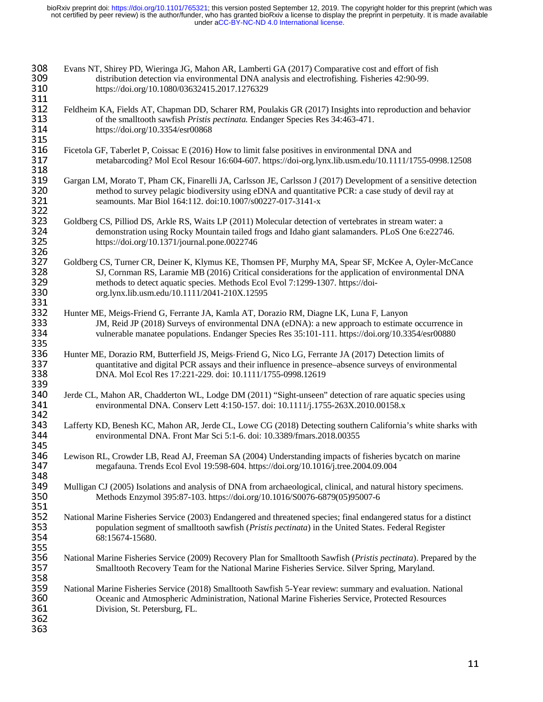| 308<br>309<br>310               | Evans NT, Shirey PD, Wieringa JG, Mahon AR, Lamberti GA (2017) Comparative cost and effort of fish<br>distribution detection via environmental DNA analysis and electrofishing. Fisheries 42:90-99.<br>https://doi.org/10.1080/03632415.2017.1276329                                                                                         |
|---------------------------------|----------------------------------------------------------------------------------------------------------------------------------------------------------------------------------------------------------------------------------------------------------------------------------------------------------------------------------------------|
| 311<br>312<br>313<br>314        | Feldheim KA, Fields AT, Chapman DD, Scharer RM, Poulakis GR (2017) Insights into reproduction and behavior<br>of the smalltooth sawfish Pristis pectinata. Endanger Species Res 34:463-471.<br>https://doi.org/10.3354/esr00868                                                                                                              |
| 315<br>316<br>317               | Ficetola GF, Taberlet P, Coissac E (2016) How to limit false positives in environmental DNA and<br>metabarcoding? Mol Ecol Resour 16:604-607. https://doi-org.lynx.lib.usm.edu/10.1111/1755-0998.12508                                                                                                                                       |
| 318<br>319<br>320<br>321<br>322 | Gargan LM, Morato T, Pham CK, Finarelli JA, Carlsson JE, Carlsson J (2017) Development of a sensitive detection<br>method to survey pelagic biodiversity using eDNA and quantitative PCR: a case study of devil ray at<br>seamounts. Mar Biol 164:112. doi:10.1007/s00227-017-3141-x                                                         |
| 323<br>324<br>325               | Goldberg CS, Pilliod DS, Arkle RS, Waits LP (2011) Molecular detection of vertebrates in stream water: a<br>demonstration using Rocky Mountain tailed frogs and Idaho giant salamanders. PLoS One 6:e22746.<br>https://doi.org/10.1371/journal.pone.0022746                                                                                  |
| 326<br>327<br>328<br>329<br>330 | Goldberg CS, Turner CR, Deiner K, Klymus KE, Thomsen PF, Murphy MA, Spear SF, McKee A, Oyler-McCance<br>SJ, Cornman RS, Laramie MB (2016) Critical considerations for the application of environmental DNA<br>methods to detect aquatic species. Methods Ecol Evol 7:1299-1307. https://doi-<br>org.lynx.lib.usm.edu/10.1111/2041-210X.12595 |
| 331<br>332<br>333<br>334        | Hunter ME, Meigs-Friend G, Ferrante JA, Kamla AT, Dorazio RM, Diagne LK, Luna F, Lanyon<br>JM, Reid JP (2018) Surveys of environmental DNA (eDNA): a new approach to estimate occurrence in<br>vulnerable manatee populations. Endanger Species Res 35:101-111. https://doi.org/10.3354/esr00880                                             |
| 335<br>336<br>337<br>338<br>339 | Hunter ME, Dorazio RM, Butterfield JS, Meigs-Friend G, Nico LG, Ferrante JA (2017) Detection limits of<br>quantitative and digital PCR assays and their influence in presence-absence surveys of environmental<br>DNA. Mol Ecol Res 17:221-229. doi: 10.1111/1755-0998.12619                                                                 |
| 340<br>341<br>342               | Jerde CL, Mahon AR, Chadderton WL, Lodge DM (2011) "Sight-unseen" detection of rare aquatic species using<br>environmental DNA. Conserv Lett 4:150-157. doi: 10.1111/j.1755-263X.2010.00158.x                                                                                                                                                |
| 343<br>344<br>345               | Lafferty KD, Benesh KC, Mahon AR, Jerde CL, Lowe CG (2018) Detecting southern California's white sharks with<br>environmental DNA. Front Mar Sci 5:1-6. doi: 10.3389/fmars.2018.00355                                                                                                                                                        |
| 346<br>347<br>348               | Lewison RL, Crowder LB, Read AJ, Freeman SA (2004) Understanding impacts of fisheries bycatch on marine<br>megafauna. Trends Ecol Evol 19:598-604. https://doi.org/10.1016/j.tree.2004.09.004                                                                                                                                                |
| 349<br>350<br>351               | Mulligan CJ (2005) Isolations and analysis of DNA from archaeological, clinical, and natural history specimens.<br>Methods Enzymol 395:87-103. https://doi.org/10.1016/S0076-6879(05)95007-6                                                                                                                                                 |
| 352<br>353<br>354<br>355        | National Marine Fisheries Service (2003) Endangered and threatened species; final endangered status for a distinct<br>population segment of smalltooth sawfish (Pristis pectinata) in the United States. Federal Register<br>68:15674-15680.                                                                                                 |
| 356<br>357<br>358               | National Marine Fisheries Service (2009) Recovery Plan for Smalltooth Sawfish (Pristis pectinata). Prepared by the<br>Smalltooth Recovery Team for the National Marine Fisheries Service. Silver Spring, Maryland.                                                                                                                           |
| 359<br>360<br>361<br>362<br>363 | National Marine Fisheries Service (2018) Smalltooth Sawfish 5-Year review: summary and evaluation. National<br>Oceanic and Atmospheric Administration, National Marine Fisheries Service, Protected Resources<br>Division, St. Petersburg, FL.                                                                                               |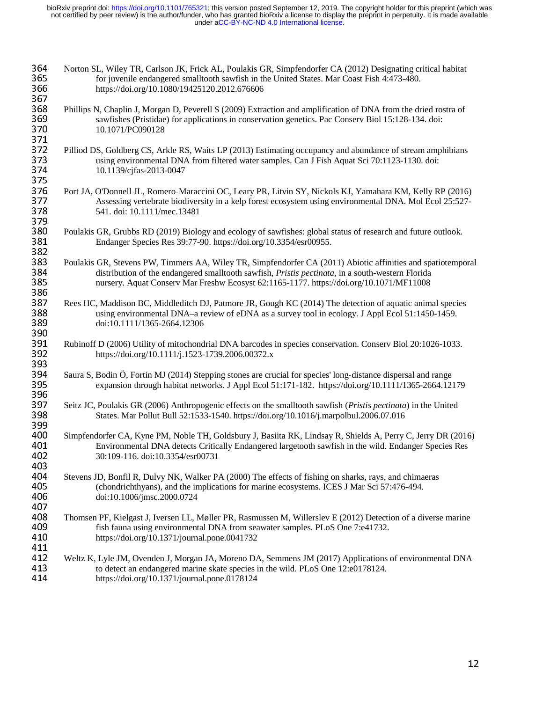| 364<br>365<br>366<br>367 | Norton SL, Wiley TR, Carlson JK, Frick AL, Poulakis GR, Simpfendorfer CA (2012) Designating critical habitat<br>for juvenile endangered smalltooth sawfish in the United States. Mar Coast Fish 4:473-480.<br>https://doi.org/10.1080/19425120.2012.676606                                                  |
|--------------------------|-------------------------------------------------------------------------------------------------------------------------------------------------------------------------------------------------------------------------------------------------------------------------------------------------------------|
| 368<br>369<br>370<br>371 | Phillips N, Chaplin J, Morgan D, Peverell S (2009) Extraction and amplification of DNA from the dried rostra of<br>sawfishes (Pristidae) for applications in conservation genetics. Pac Conserv Biol 15:128-134. doi:<br>10.1071/PC090128                                                                   |
| 372<br>373<br>374<br>375 | Pilliod DS, Goldberg CS, Arkle RS, Waits LP (2013) Estimating occupancy and abundance of stream amphibians<br>using environmental DNA from filtered water samples. Can J Fish Aquat Sci 70:1123-1130. doi:<br>10.1139/cjfas-2013-0047                                                                       |
| 376<br>377<br>378<br>379 | Port JA, O'Donnell JL, Romero-Maraccini OC, Leary PR, Litvin SY, Nickols KJ, Yamahara KM, Kelly RP (2016)<br>Assessing vertebrate biodiversity in a kelp forest ecosystem using environmental DNA. Mol Ecol 25:527-<br>541. doi: 10.1111/mec.13481                                                          |
| 380<br>381<br>382        | Poulakis GR, Grubbs RD (2019) Biology and ecology of sawfishes: global status of research and future outlook.<br>Endanger Species Res 39:77-90. https://doi.org/10.3354/esr00955.                                                                                                                           |
| 383<br>384<br>385<br>386 | Poulakis GR, Stevens PW, Timmers AA, Wiley TR, Simpfendorfer CA (2011) Abiotic affinities and spatiotemporal<br>distribution of the endangered smalltooth sawfish, Pristis pectinata, in a south-western Florida<br>nursery. Aquat Conserv Mar Freshw Ecosyst 62:1165-1177. https://doi.org/10.1071/MF11008 |
| 387<br>388<br>389<br>390 | Rees HC, Maddison BC, Middleditch DJ, Patmore JR, Gough KC (2014) The detection of aquatic animal species<br>using environmental DNA–a review of eDNA as a survey tool in ecology. J Appl Ecol 51:1450-1459.<br>doi:10.1111/1365-2664.12306                                                                 |
| 391<br>392<br>393        | Rubinoff D (2006) Utility of mitochondrial DNA barcodes in species conservation. Conserv Biol 20:1026-1033.<br>https://doi.org/10.1111/j.1523-1739.2006.00372.x                                                                                                                                             |
| 394<br>395<br>396        | Saura S, Bodin Ö, Fortin MJ (2014) Stepping stones are crucial for species' long-distance dispersal and range<br>expansion through habitat networks. J Appl Ecol 51:171-182. https://doi.org/10.111/1365-2664.12179                                                                                         |
| 397<br>398<br>399        | Seitz JC, Poulakis GR (2006) Anthropogenic effects on the smalltooth sawfish (Pristis pectinata) in the United<br>States. Mar Pollut Bull 52:1533-1540. https://doi.org/10.1016/j.marpolbul.2006.07.016                                                                                                     |
| 400<br>401<br>402<br>403 | Simpfendorfer CA, Kyne PM, Noble TH, Goldsbury J, Basiita RK, Lindsay R, Shields A, Perry C, Jerry DR (2016)<br>Environmental DNA detects Critically Endangered largetooth sawfish in the wild. Endanger Species Res<br>30:109-116. doi:10.3354/esr00731                                                    |
| 404<br>405<br>406<br>407 | Stevens JD, Bonfil R, Dulvy NK, Walker PA (2000) The effects of fishing on sharks, rays, and chimaeras<br>(chondrichthyans), and the implications for marine ecosystems. ICES J Mar Sci 57:476-494.<br>doi:10.1006/jmsc.2000.0724                                                                           |
| 408<br>409<br>410<br>411 | Thomsen PF, Kielgast J, Iversen LL, Møller PR, Rasmussen M, Willerslev E (2012) Detection of a diverse marine<br>fish fauna using environmental DNA from seawater samples. PLoS One 7:e41732.<br>https://doi.org/10.1371/journal.pone.0041732                                                               |
| 412<br>413<br>414        | Weltz K, Lyle JM, Ovenden J, Morgan JA, Moreno DA, Semmens JM (2017) Applications of environmental DNA<br>to detect an endangered marine skate species in the wild. PLoS One 12:e0178124.<br>https://doi.org/10.1371/journal.pone.0178124                                                                   |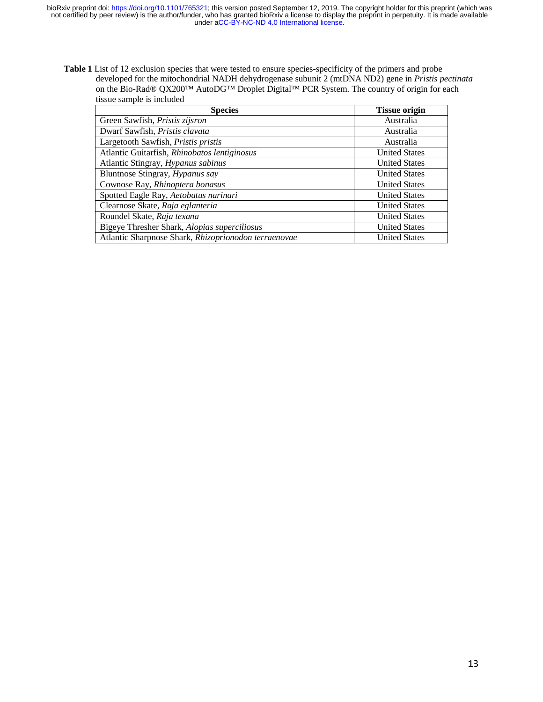Table 1 List of 12 exclusion species that were tested to ensure species-specificity of the primers and probe developed for the mitochondrial NADH dehydrogenase subunit 2 (mtDNA ND2) gene in *Pristis pectinata* on the Bio-Rad® QX200™ AutoDG™ Droplet Digital™ PCR System. The country of origin for each tissue sample is included

| <b>Species</b>                                       | <b>Tissue origin</b> |
|------------------------------------------------------|----------------------|
| Green Sawfish, Pristis zijsron                       | Australia            |
| Dwarf Sawfish, Pristis clavata                       | Australia            |
| Largetooth Sawfish, Pristis pristis                  | Australia            |
| Atlantic Guitarfish, Rhinobatos lentiginosus         | <b>United States</b> |
| Atlantic Stingray, Hypanus sabinus                   | <b>United States</b> |
| Bluntnose Stingray, Hypanus say                      | <b>United States</b> |
| Cownose Ray, Rhinoptera bonasus                      | <b>United States</b> |
| Spotted Eagle Ray, Aetobatus narinari                | <b>United States</b> |
| Clearnose Skate, Raja eglanteria                     | <b>United States</b> |
| Roundel Skate, Raja texana                           | <b>United States</b> |
| Bigeye Thresher Shark, Alopias superciliosus         | <b>United States</b> |
| Atlantic Sharpnose Shark, Rhizoprionodon terraenovae | <b>United States</b> |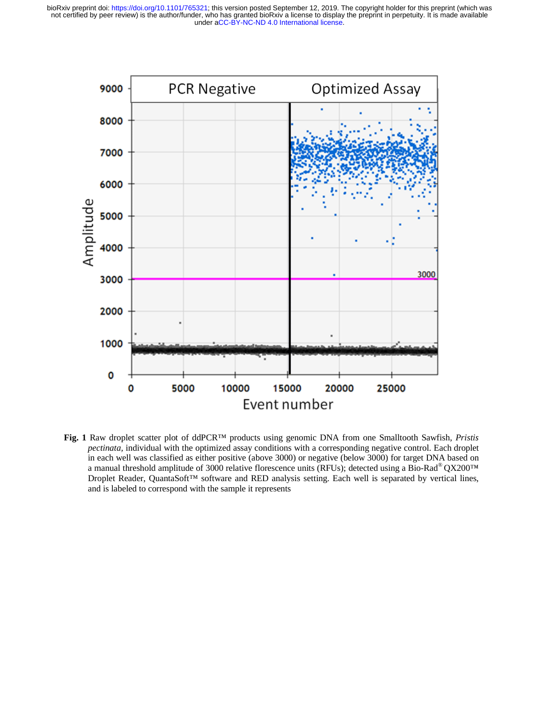

**Fig. 1** Raw droplet scatter plot of ddPCR™ products using genomic DNA from one Smalltooth Sawfish, *Pristis tis*  pectinata, individual with the optimized assay conditions with a corresponding negative control. Each droplet in each well was classified as either positive (above 3000) or negative (below 3000) for target DNA based on a manual threshold amplitude of 3000 relative florescence units (RFUs); detected using a Bio-Rad® QX200™ a manual threshold amplitude of 3000 relative florescence units (RFUs); detected using a Bio-Rad® QX200™<br>Droplet Reader, QuantaSoft™ software and RED analysis setting. Each well is separated by vertical lines, and is labeled to correspond with the sample it represents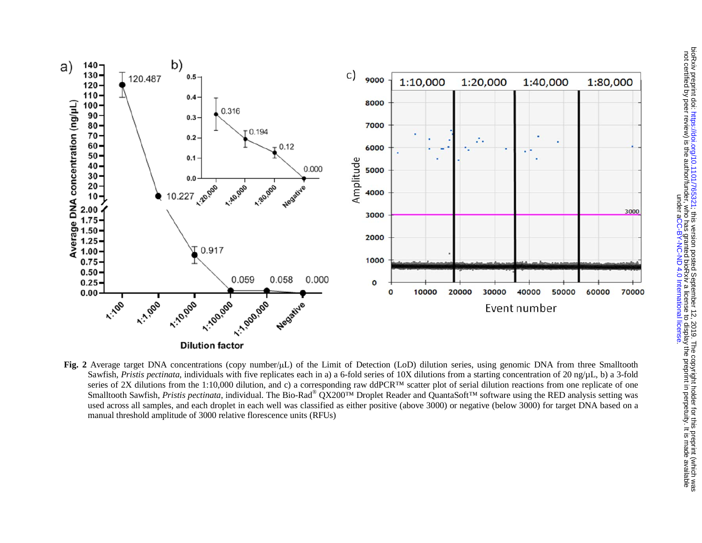



**Fig. 2** Average target DNA concentrations (copy number/μL) of the Limit of Detection (LoD) dilution series, using genomic DNA from three Smalltooth Sawfish, *Pristis pectinata*, individuals with five replicates each in a) a 6-fold series of 10X dilutions from a starting concentration of 20 ng/µL, b) a 3-fold series of 2X dilutions from the 1:10,000 dilution, and c) a corresponding raw ddPCR™ scatter plot of serial dilution reactions from one replicate of one Smalltooth Sawfish, *Pristis pectinata*, individual. The Bio-Rad® QX200™ Droplet Reader and QuantaSoft™ software using the RED analysis setting was as used across all samples, and each droplet in each well was classified as either positive (above 3000) or negative (below 3000) for target DNA based on a manual threshold amplitude of 3000 relative florescence units (RFUs)